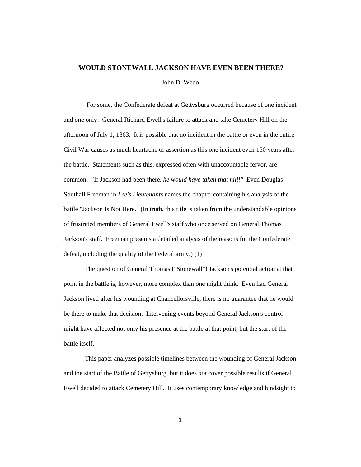# **WOULD STONEWALL JACKSON HAVE EVEN BEEN THERE?**

John D. Wedo

For some, the Confederate defeat at Gettysburg occurred because of one incident and one only: General Richard Ewell's failure to attack and take Cemetery Hill on the afternoon of July 1, 1863. It is possible that no incident in the battle or even in the entire Civil War causes as much heartache or assertion as this one incident even 150 years after the battle. Statements such as this, expressed often with unaccountable fervor, are common: "If Jackson had been there, *he would have taken that hill!"* Even Douglas Southall Freeman in *Lee's Lieutenants* names the chapter containing his analysis of the battle "Jackson Is Not Here." (In truth, this title is taken from the understandable opinions of frustrated members of General Ewell's staff who once served on General Thomas Jackson's staff. Freeman presents a detailed analysis of the reasons for the Confederate defeat, including the quality of the Federal army.) (1)

The question of General Thomas ("Stonewall") Jackson's potential action at that point in the battle is, however, more complex than one might think. Even had General Jackson lived after his wounding at Chancellorsville, there is no guarantee that he would be there to make that decision. Intervening events beyond General Jackson's control might have affected not only his presence at the battle at that point, but the start of the battle itself.

This paper analyzes possible timelines between the wounding of General Jackson and the start of the Battle of Gettysburg, but it does *not* cover possible results if General Ewell decided to attack Cemetery Hill. It uses contemporary knowledge and hindsight to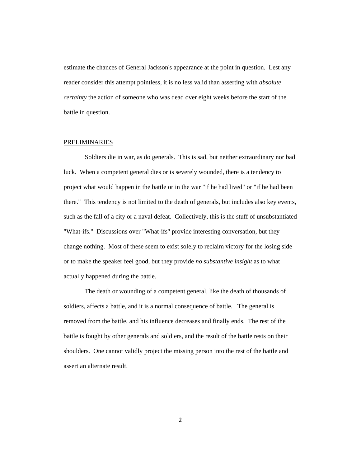estimate the chances of General Jackson's appearance at the point in question. Lest any reader consider this attempt pointless, it is no less valid than asserting with *absolute certainty* the action of someone who was dead over eight weeks before the start of the battle in question.

#### PRELIMINARIES

Soldiers die in war, as do generals. This is sad, but neither extraordinary nor bad luck. When a competent general dies or is severely wounded, there is a tendency to project what would happen in the battle or in the war "if he had lived" or "if he had been there." This tendency is not limited to the death of generals, but includes also key events, such as the fall of a city or a naval defeat. Collectively, this is the stuff of unsubstantiated "What-ifs." Discussions over "What-ifs" provide interesting conversation, but they change nothing. Most of these seem to exist solely to reclaim victory for the losing side or to make the speaker feel good, but they provide *no substantive insight* as to what actually happened during the battle.

The death or wounding of a competent general, like the death of thousands of soldiers, affects a battle, and it is a normal consequence of battle. The general is removed from the battle, and his influence decreases and finally ends. The rest of the battle is fought by other generals and soldiers, and the result of the battle rests on their shoulders. One cannot validly project the missing person into the rest of the battle and assert an alternate result.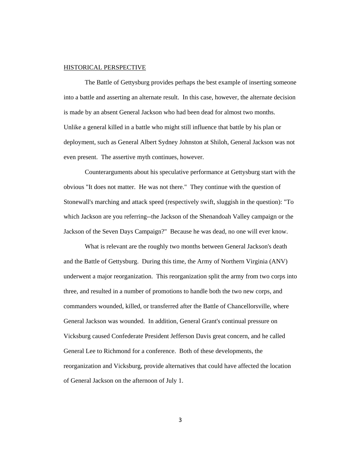### HISTORICAL PERSPECTIVE

The Battle of Gettysburg provides perhaps the best example of inserting someone into a battle and asserting an alternate result. In this case, however, the alternate decision is made by an absent General Jackson who had been dead for almost two months. Unlike a general killed in a battle who might still influence that battle by his plan or deployment, such as General Albert Sydney Johnston at Shiloh, General Jackson was not even present. The assertive myth continues, however.

Counterarguments about his speculative performance at Gettysburg start with the obvious "It does not matter. He was not there." They continue with the question of Stonewall's marching and attack speed (respectively swift, sluggish in the question): "To which Jackson are you referring--the Jackson of the Shenandoah Valley campaign or the Jackson of the Seven Days Campaign?" Because he was dead, no one will ever know.

What is relevant are the roughly two months between General Jackson's death and the Battle of Gettysburg. During this time, the Army of Northern Virginia (ANV) underwent a major reorganization. This reorganization split the army from two corps into three, and resulted in a number of promotions to handle both the two new corps, and commanders wounded, killed, or transferred after the Battle of Chancellorsville, where General Jackson was wounded. In addition, General Grant's continual pressure on Vicksburg caused Confederate President Jefferson Davis great concern, and he called General Lee to Richmond for a conference. Both of these developments, the reorganization and Vicksburg, provide alternatives that could have affected the location of General Jackson on the afternoon of July 1.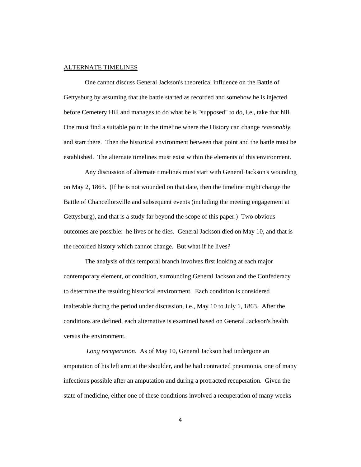## ALTERNATE TIMELINES

One cannot discuss General Jackson's theoretical influence on the Battle of Gettysburg by assuming that the battle started as recorded and somehow he is injected before Cemetery Hill and manages to do what he is "supposed" to do, i.e., take that hill. One must find a suitable point in the timeline where the History can change *reasonably*, and start there. Then the historical environment between that point and the battle must be established. The alternate timelines must exist within the elements of this environment.

Any discussion of alternate timelines must start with General Jackson's wounding on May 2, 1863. (If he is not wounded on that date, then the timeline might change the Battle of Chancellorsville and subsequent events (including the meeting engagement at Gettysburg), and that is a study far beyond the scope of this paper.) Two obvious outcomes are possible: he lives or he dies. General Jackson died on May 10, and that is the recorded history which cannot change. But what if he lives?

The analysis of this temporal branch involves first looking at each major contemporary element, or condition, surrounding General Jackson and the Confederacy to determine the resulting historical environment. Each condition is considered inalterable during the period under discussion, i.e., May 10 to July 1, 1863. After the conditions are defined, each alternative is examined based on General Jackson's health versus the environment.

*Long recuperation*. As of May 10, General Jackson had undergone an amputation of his left arm at the shoulder, and he had contracted pneumonia, one of many infections possible after an amputation and during a protracted recuperation. Given the state of medicine, either one of these conditions involved a recuperation of many weeks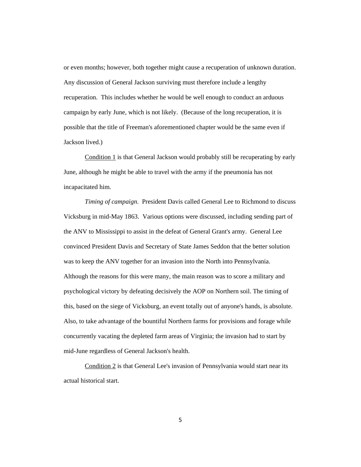or even months; however, both together might cause a recuperation of unknown duration. Any discussion of General Jackson surviving must therefore include a lengthy recuperation. This includes whether he would be well enough to conduct an arduous campaign by early June, which is not likely. (Because of the long recuperation, it is possible that the title of Freeman's aforementioned chapter would be the same even if Jackson lived.)

Condition 1 is that General Jackson would probably still be recuperating by early June, although he might be able to travel with the army if the pneumonia has not incapacitated him.

*Timing of campaign*. President Davis called General Lee to Richmond to discuss Vicksburg in mid-May 1863. Various options were discussed, including sending part of the ANV to Mississippi to assist in the defeat of General Grant's army. General Lee convinced President Davis and Secretary of State James Seddon that the better solution was to keep the ANV together for an invasion into the North into Pennsylvania. Although the reasons for this were many, the main reason was to score a military and psychological victory by defeating decisively the AOP on Northern soil. The timing of this, based on the siege of Vicksburg, an event totally out of anyone's hands, is absolute. Also, to take advantage of the bountiful Northern farms for provisions and forage while concurrently vacating the depleted farm areas of Virginia; the invasion had to start by mid-June regardless of General Jackson's health.

Condition 2 is that General Lee's invasion of Pennsylvania would start near its actual historical start.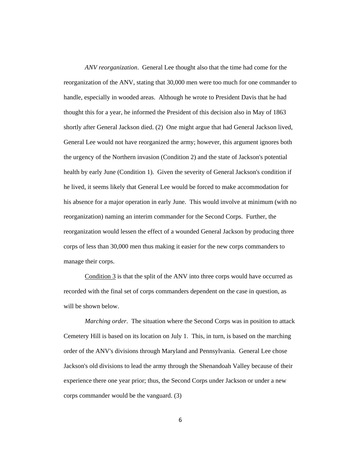*ANV reorganization*. General Lee thought also that the time had come for the reorganization of the ANV, stating that 30,000 men were too much for one commander to handle, especially in wooded areas. Although he wrote to President Davis that he had thought this for a year, he informed the President of this decision also in May of 1863 shortly after General Jackson died. (2) One might argue that had General Jackson lived, General Lee would not have reorganized the army; however, this argument ignores both the urgency of the Northern invasion (Condition 2) and the state of Jackson's potential health by early June (Condition 1). Given the severity of General Jackson's condition if he lived, it seems likely that General Lee would be forced to make accommodation for his absence for a major operation in early June. This would involve at minimum (with no reorganization) naming an interim commander for the Second Corps. Further, the reorganization would lessen the effect of a wounded General Jackson by producing three corps of less than 30,000 men thus making it easier for the new corps commanders to manage their corps.

Condition 3 is that the split of the ANV into three corps would have occurred as recorded with the final set of corps commanders dependent on the case in question, as will be shown below.

*Marching order*. The situation where the Second Corps was in position to attack Cemetery Hill is based on its location on July 1. This, in turn, is based on the marching order of the ANV's divisions through Maryland and Pennsylvania. General Lee chose Jackson's old divisions to lead the army through the Shenandoah Valley because of their experience there one year prior; thus, the Second Corps under Jackson or under a new corps commander would be the vanguard. (3)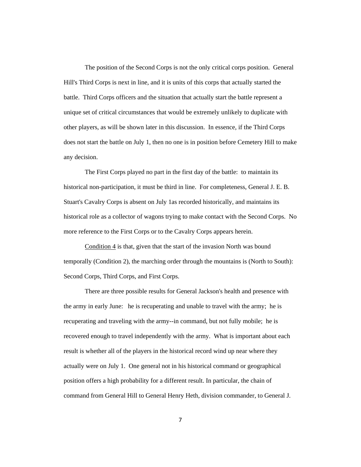The position of the Second Corps is not the only critical corps position. General Hill's Third Corps is next in line, and it is units of this corps that actually started the battle. Third Corps officers and the situation that actually start the battle represent a unique set of critical circumstances that would be extremely unlikely to duplicate with other players, as will be shown later in this discussion. In essence, if the Third Corps does not start the battle on July 1, then no one is in position before Cemetery Hill to make any decision.

The First Corps played no part in the first day of the battle: to maintain its historical non-participation, it must be third in line. For completeness, General J. E. B. Stuart's Cavalry Corps is absent on July 1as recorded historically, and maintains its historical role as a collector of wagons trying to make contact with the Second Corps. No more reference to the First Corps or to the Cavalry Corps appears herein.

Condition 4 is that, given that the start of the invasion North was bound temporally (Condition 2), the marching order through the mountains is (North to South): Second Corps, Third Corps, and First Corps.

There are three possible results for General Jackson's health and presence with the army in early June: he is recuperating and unable to travel with the army; he is recuperating and traveling with the army--in command, but not fully mobile; he is recovered enough to travel independently with the army. What is important about each result is whether all of the players in the historical record wind up near where they actually were on July 1. One general not in his historical command or geographical position offers a high probability for a different result. In particular, the chain of command from General Hill to General Henry Heth, division commander, to General J.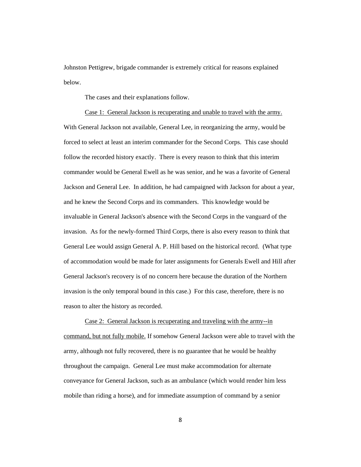Johnston Pettigrew, brigade commander is extremely critical for reasons explained below.

The cases and their explanations follow.

Case 1: General Jackson is recuperating and unable to travel with the army. With General Jackson not available, General Lee, in reorganizing the army, would be forced to select at least an interim commander for the Second Corps. This case should follow the recorded history exactly. There is every reason to think that this interim commander would be General Ewell as he was senior, and he was a favorite of General Jackson and General Lee. In addition, he had campaigned with Jackson for about a year, and he knew the Second Corps and its commanders. This knowledge would be invaluable in General Jackson's absence with the Second Corps in the vanguard of the invasion. As for the newly-formed Third Corps, there is also every reason to think that General Lee would assign General A. P. Hill based on the historical record. (What type of accommodation would be made for later assignments for Generals Ewell and Hill after General Jackson's recovery is of no concern here because the duration of the Northern invasion is the only temporal bound in this case.) For this case, therefore, there is no reason to alter the history as recorded.

Case 2: General Jackson is recuperating and traveling with the army--in command, but not fully mobile. If somehow General Jackson were able to travel with the army, although not fully recovered, there is no guarantee that he would be healthy throughout the campaign. General Lee must make accommodation for alternate conveyance for General Jackson, such as an ambulance (which would render him less mobile than riding a horse), and for immediate assumption of command by a senior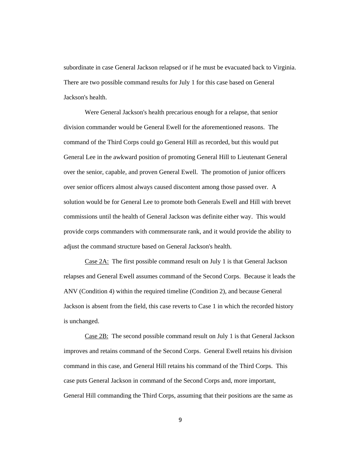subordinate in case General Jackson relapsed or if he must be evacuated back to Virginia. There are two possible command results for July 1 for this case based on General Jackson's health.

Were General Jackson's health precarious enough for a relapse, that senior division commander would be General Ewell for the aforementioned reasons. The command of the Third Corps could go General Hill as recorded, but this would put General Lee in the awkward position of promoting General Hill to Lieutenant General over the senior, capable, and proven General Ewell. The promotion of junior officers over senior officers almost always caused discontent among those passed over. A solution would be for General Lee to promote both Generals Ewell and Hill with brevet commissions until the health of General Jackson was definite either way. This would provide corps commanders with commensurate rank, and it would provide the ability to adjust the command structure based on General Jackson's health.

Case 2A: The first possible command result on July 1 is that General Jackson relapses and General Ewell assumes command of the Second Corps. Because it leads the ANV (Condition 4) within the required timeline (Condition 2), and because General Jackson is absent from the field, this case reverts to Case 1 in which the recorded history is unchanged.

Case 2B: The second possible command result on July 1 is that General Jackson improves and retains command of the Second Corps. General Ewell retains his division command in this case, and General Hill retains his command of the Third Corps. This case puts General Jackson in command of the Second Corps and, more important, General Hill commanding the Third Corps, assuming that their positions are the same as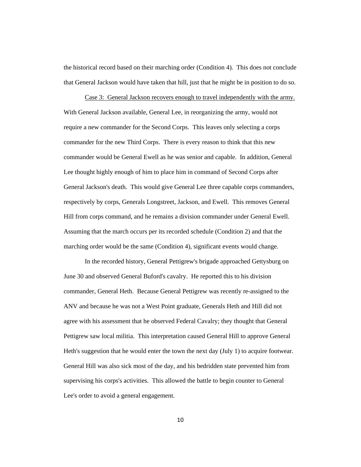the historical record based on their marching order (Condition 4). This does not conclude that General Jackson would have taken that hill, just that he might be in position to do so.

Case 3: General Jackson recovers enough to travel independently with the army. With General Jackson available, General Lee, in reorganizing the army, would not require a new commander for the Second Corps. This leaves only selecting a corps commander for the new Third Corps. There is every reason to think that this new commander would be General Ewell as he was senior and capable. In addition, General Lee thought highly enough of him to place him in command of Second Corps after General Jackson's death. This would give General Lee three capable corps commanders, respectively by corps, Generals Longstreet, Jackson, and Ewell. This removes General Hill from corps command, and he remains a division commander under General Ewell. Assuming that the march occurs per its recorded schedule (Condition 2) and that the marching order would be the same (Condition 4), significant events would change.

In the recorded history, General Pettigrew's brigade approached Gettysburg on June 30 and observed General Buford's cavalry. He reported this to his division commander, General Heth. Because General Pettigrew was recently re-assigned to the ANV and because he was not a West Point graduate, Generals Heth and Hill did not agree with his assessment that he observed Federal Cavalry; they thought that General Pettigrew saw local militia. This interpretation caused General Hill to approve General Heth's suggestion that he would enter the town the next day (July 1) to acquire footwear. General Hill was also sick most of the day, and his bedridden state prevented him from supervising his corps's activities. This allowed the battle to begin counter to General Lee's order to avoid a general engagement.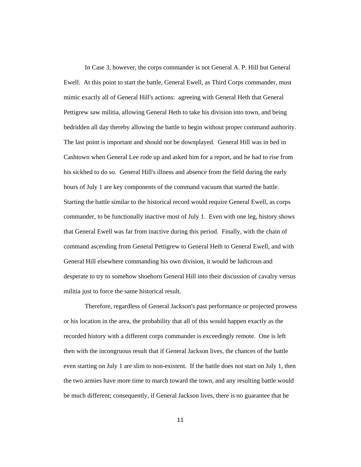In Case 3, however, the corps commander is not General A. P. Hill but General Ewell. At this point to start the battle, General Ewell, as Third Corps commander, must mimic exactly all of General Hill's actions: agreeing with General Heth that General Pettigrew saw militia, allowing General Heth to take his division into town, and being bedridden all day thereby allowing the battle to begin without proper command authority. The last point is important and should not be downplayed. General Hill was in bed in Cashtown when General Lee rode up and asked him for a report, and he had to rise from his sickbed to do so. General Hill's illness and absence from the field during the early hours of July 1 are key components of the command vacuum that started the battle. Starting the battle similar to the historical record would require General Ewell, as corps commander, to be functionally inactive most of July 1. Even with one leg, history shows that General Ewell was far from inactive during this period. Finally, with the chain of command ascending from General Pettigrew to General Heth to General Ewell, and with General Hill elsewhere commanding his own division, it would be ludicrous and desperate to try to somehow shoehorn General Hill into their discussion of cavalry versus militia just to force the same historical result.

Therefore, regardless of General Jackson's past performance or projected prowess or his location in the area, the probability that all of this would happen exactly as the recorded history with a different corps commander is exceedingly remote. One is left then with the incongruous result that if General Jackson lives, the chances of the battle even starting on July 1 are slim to non-existent. If the battle does not start on July 1, then the two armies have more time to march toward the town, and any resulting battle would be much different; consequently, if General Jackson lives, there is no guarantee that he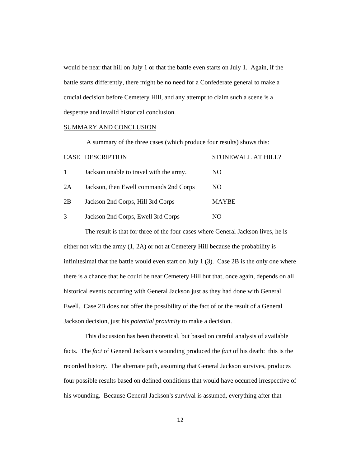would be near that hill on July 1 or that the battle even starts on July 1. Again, if the battle starts differently, there might be no need for a Confederate general to make a crucial decision before Cemetery Hill, and any attempt to claim such a scene is a desperate and invalid historical conclusion.

#### SUMMARY AND CONCLUSION

A summary of the three cases (which produce four results) shows this:

|    | CASE DESCRIPTION                        | STONEWALL AT HILL? |
|----|-----------------------------------------|--------------------|
|    | Jackson unable to travel with the army. | NO.                |
| 2A | Jackson, then Ewell commands 2nd Corps  | NO.                |
| 2B | Jackson 2nd Corps, Hill 3rd Corps       | <b>MAYBE</b>       |
| 3  | Jackson 2nd Corps, Ewell 3rd Corps      | NO.                |

The result is that for three of the four cases where General Jackson lives, he is either not with the army (1, 2A) or not at Cemetery Hill because the probability is infinitesimal that the battle would even start on July 1 (3). Case 2B is the only one where there is a chance that he could be near Cemetery Hill but that, once again, depends on all historical events occurring with General Jackson just as they had done with General Ewell. Case 2B does not offer the possibility of the fact of or the result of a General Jackson decision, just his *potential proximity* to make a decision.

This discussion has been theoretical, but based on careful analysis of available facts. The *fact* of General Jackson's wounding produced the *fact* of his death: this is the recorded history. The alternate path, assuming that General Jackson survives, produces four possible results based on defined conditions that would have occurred irrespective of his wounding. Because General Jackson's survival is assumed, everything after that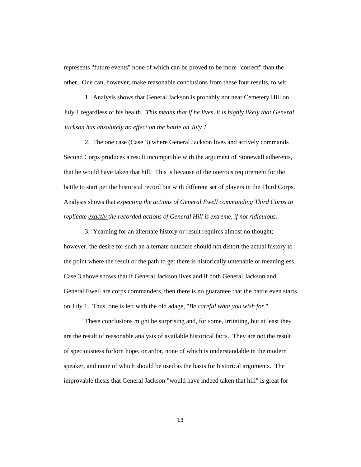represents "future events" none of which can be proved to be more "correct" than the other. One can, however, make reasonable conclusions from these four results, to wit:

1. Analysis shows that General Jackson is probably not near Cemetery Hill on July 1 regardless of his health. *This means that if he lives, it is highly likely that General Jackson has absolutely no effect on the battle on July 1*

2. The one case (Case 3) where General Jackson lives and actively commands Second Corps produces a result incompatible with the argument of Stonewall adherents, that he would have taken that hill. This is because of the onerous requirement for the battle to start per the historical record but with different set of players in the Third Corps. Analysis shows that *expecting the actions of General Ewell commanding Third Corps to replicate exactly the recorded actions of General Hill is extreme, if not ridiculous.*

3. Yearning for an alternate history or result requires almost no thought; however, the desire for such an alternate outcome should not distort the actual history to the point where the result or the path to get there is historically untenable or meaningless. Case 3 above shows that if General Jackson lives and if both General Jackson and General Ewell are corps commanders, then there is no guarantee that the battle even starts on July 1. Thus, one is left with the old adage, "*Be careful what you wish for*."

These conclusions might be surprising and, for some, irritating, but at least they are the result of reasonable analysis of available historical facts. They are not the result of speciousness forlorn hope, or ardor, none of which is understandable in the modern speaker, and none of which should be used as the basis for historical arguments. The improvable thesis that General Jackson "would have indeed taken that hill" is great for